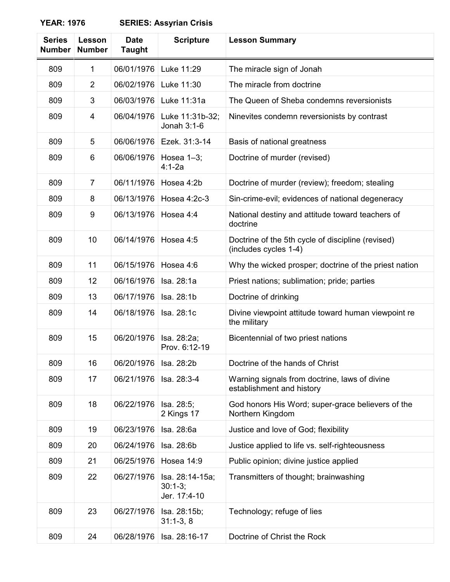## **YEAR: 1976 SERIES: Assyrian Crisis**

| <b>Series</b><br><b>Number</b> | Lesson<br><b>Number</b> | <b>Date</b><br><b>Taught</b> | <b>Scripture</b>                             | <b>Lesson Summary</b>                                                      |
|--------------------------------|-------------------------|------------------------------|----------------------------------------------|----------------------------------------------------------------------------|
| 809                            | 1                       | 06/01/1976                   | Luke 11:29                                   | The miracle sign of Jonah                                                  |
| 809                            | $\overline{2}$          | 06/02/1976                   | Luke 11:30                                   | The miracle from doctrine                                                  |
| 809                            | 3                       | 06/03/1976                   | Luke 11:31a                                  | The Queen of Sheba condemns reversionists                                  |
| 809                            | 4                       | 06/04/1976                   | Luke 11:31b-32;<br>Jonah 3:1-6               | Ninevites condemn reversionists by contrast                                |
| 809                            | 5                       | 06/06/1976                   | Ezek. 31:3-14                                | Basis of national greatness                                                |
| 809                            | 6                       | 06/06/1976                   | Hosea $1-3$ ;<br>$4:1 - 2a$                  | Doctrine of murder (revised)                                               |
| 809                            | $\overline{7}$          | 06/11/1976                   | Hosea 4:2b                                   | Doctrine of murder (review); freedom; stealing                             |
| 809                            | 8                       | 06/13/1976                   | Hosea 4:2c-3                                 | Sin-crime-evil; evidences of national degeneracy                           |
| 809                            | 9                       | 06/13/1976                   | Hosea 4:4                                    | National destiny and attitude toward teachers of<br>doctrine               |
| 809                            | 10                      | 06/14/1976                   | Hosea 4:5                                    | Doctrine of the 5th cycle of discipline (revised)<br>(includes cycles 1-4) |
| 809                            | 11                      | 06/15/1976                   | Hosea 4:6                                    | Why the wicked prosper; doctrine of the priest nation                      |
| 809                            | 12                      | 06/16/1976                   | Isa. 28:1a                                   | Priest nations; sublimation; pride; parties                                |
| 809                            | 13                      | 06/17/1976                   | Isa. 28:1b                                   | Doctrine of drinking                                                       |
| 809                            | 14                      | 06/18/1976                   | Isa. 28:1c                                   | Divine viewpoint attitude toward human viewpoint re<br>the military        |
| 809                            | 15                      | 06/20/1976                   | Isa. 28:2a;<br>Prov. 6:12-19                 | Bicentennial of two priest nations                                         |
| 809                            | 16                      | 06/20/1976   Isa. 28:2b      |                                              | Doctrine of the hands of Christ                                            |
| 809                            | 17                      | 06/21/1976                   | Isa. 28:3-4                                  | Warning signals from doctrine, laws of divine<br>establishment and history |
| 809                            | 18                      | 06/22/1976                   | Isa. 28:5;<br>2 Kings 17                     | God honors His Word; super-grace believers of the<br>Northern Kingdom      |
| 809                            | 19                      | 06/23/1976                   | Isa. 28:6a                                   | Justice and love of God; flexibility                                       |
| 809                            | 20                      | 06/24/1976                   | Isa. 28:6b                                   | Justice applied to life vs. self-righteousness                             |
| 809                            | 21                      | 06/25/1976                   | Hosea 14:9                                   | Public opinion; divine justice applied                                     |
| 809                            | 22                      | 06/27/1976                   | Isa. 28:14-15a;<br>$30:1-3;$<br>Jer. 17:4-10 | Transmitters of thought; brainwashing                                      |
| 809                            | 23                      | 06/27/1976                   | Isa. 28:15b;<br>$31:1-3,8$                   | Technology; refuge of lies                                                 |
| 809                            | 24                      | 06/28/1976                   | Isa. 28:16-17                                | Doctrine of Christ the Rock                                                |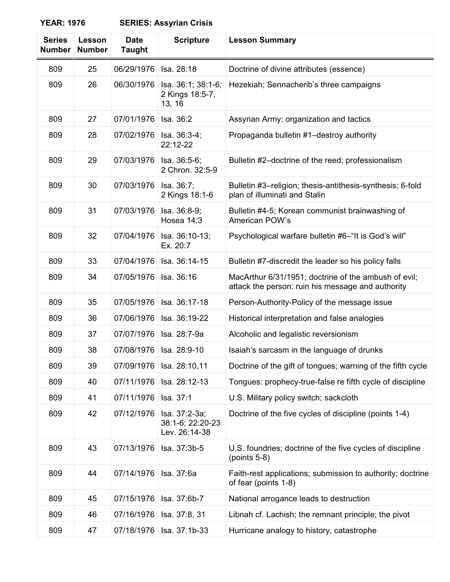## **YEAR: 1976**

| <b>SERIES: Assyrian Crisis</b> |  |  |
|--------------------------------|--|--|
|--------------------------------|--|--|

| <b>Series</b><br><b>Number</b> | Lesson<br><b>Number</b> | <b>Date</b><br><b>Taught</b> | <b>Scripture</b>                                   | <b>Lesson Summary</b>                                                                                     |
|--------------------------------|-------------------------|------------------------------|----------------------------------------------------|-----------------------------------------------------------------------------------------------------------|
| 809                            | 25                      | 06/29/1976                   | Isa. 28:18                                         | Doctrine of divine attributes (essence)                                                                   |
| 809                            | 26                      | 06/30/1976                   | Isa. 36:1; 38:1-6;<br>2 Kings 18:5-7,<br>13, 16    | Hezekiah; Sennacherib's three campaigns                                                                   |
| 809                            | 27                      | 07/01/1976                   | Isa, 36:2                                          | Assyrian Army: organization and tactics                                                                   |
| 809                            | 28                      | 07/02/1976                   | Isa. 36:3-4;<br>22:12-22                           | Propaganda bulletin #1-destroy authority                                                                  |
| 809                            | 29                      | 07/03/1976                   | Isa. 36:5-6;<br>2 Chron. 32:5-9                    | Bulletin #2-doctrine of the reed; professionalism                                                         |
| 809                            | 30                      | 07/03/1976                   | Isa. 36:7;<br>2 Kings 18:1-6                       | Bulletin #3–religion; thesis-antithesis-synthesis; 6-fold<br>plan of illuminati and Stalin                |
| 809                            | 31                      | 07/03/1976                   | Isa. 36:8-9;<br>Hosea 14:3                         | Bulletin #4-5; Korean communist brainwashing of<br>American POW's                                         |
| 809                            | 32                      | 07/04/1976                   | Isa. 36:10-13;<br>Ex. 20:7                         | Psychological warfare bulletin #6-"It is God's will"                                                      |
| 809                            | 33                      | 07/04/1976                   | Isa. 36:14-15                                      | Bulletin #7-discredit the leader so his policy falls                                                      |
| 809                            | 34                      | 07/05/1976                   | Isa. 36:16                                         | MacArthur 6/31/1951; doctrine of the ambush of evil;<br>attack the person: ruin his message and authority |
| 809                            | 35                      | 07/05/1976                   | Isa. 36:17-18                                      | Person-Authority-Policy of the message issue                                                              |
| 809                            | 36                      | 07/06/1976                   | Isa. 36:19-22                                      | Historical interpretation and false analogies                                                             |
| 809                            | 37                      | 07/07/1976                   | Isa. 28:7-9a                                       | Alcoholic and legalistic reversionism                                                                     |
| 809                            | 38                      | 07/08/1976                   | Isa. 28:9-10                                       | Isaiah's sarcasm in the language of drunks                                                                |
| 809                            | 39                      | 07/09/1976                   | Isa. 28:10,11                                      | Doctrine of the gift of tongues; warning of the fifth cycle                                               |
| 809                            | 40                      | 07/11/1976                   | Isa. 28:12-13                                      | Tongues: prophecy-true-false re fifth cycle of discipline                                                 |
| 809                            | 41                      | 07/11/1976                   | Isa. 37:1                                          | U.S. Military policy switch; sackcloth                                                                    |
| 809                            | 42                      | 07/12/1976                   | Isa. 37:2-3a;<br>38:1-6; 22:20-23<br>Lev. 26:14-38 | Doctrine of the five cycles of discipline (points 1-4)                                                    |
| 809                            | 43                      | 07/13/1976                   | Isa. 37:3b-5                                       | U.S. foundries; doctrine of the five cycles of discipline<br>$(points 5-8)$                               |
| 809                            | 44                      | 07/14/1976                   | Isa. 37:6a                                         | Faith-rest applications; submission to authority; doctrine<br>of fear (points 1-8)                        |
| 809                            | 45                      | 07/15/1976                   | Isa. 37:6b-7                                       | National arrogance leads to destruction                                                                   |
| 809                            | 46                      | 07/16/1976                   | Isa. 37:8, 31                                      | Libnah cf. Lachish; the remnant principle; the pivot                                                      |
| 809                            | 47                      | 07/18/1976                   | Isa. 37:1b-33                                      | Hurricane analogy to history, catastrophe                                                                 |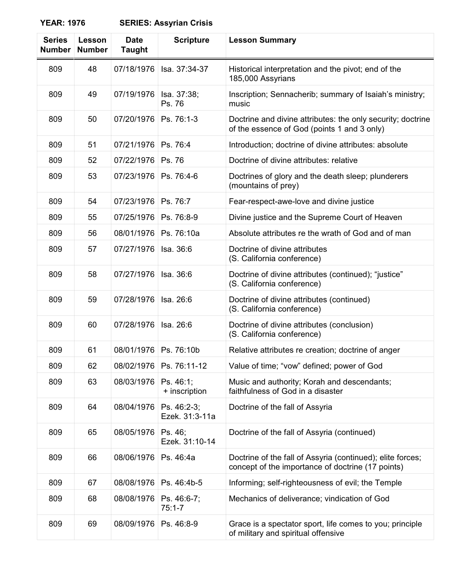## **YEAR: 1976 SERIES: Assyrian Crisis**

| <b>Series</b><br><b>Number</b> | Lesson<br><b>Number</b> | <b>Date</b><br><b>Taught</b> | <b>Scripture</b>              | <b>Lesson Summary</b>                                                                                           |
|--------------------------------|-------------------------|------------------------------|-------------------------------|-----------------------------------------------------------------------------------------------------------------|
| 809                            | 48                      | 07/18/1976                   | Isa. 37:34-37                 | Historical interpretation and the pivot; end of the<br>185,000 Assyrians                                        |
| 809                            | 49                      | 07/19/1976                   | Isa. 37:38;<br>Ps. 76         | Inscription; Sennacherib; summary of Isaiah's ministry;<br>music                                                |
| 809                            | 50                      | 07/20/1976                   | Ps. 76:1-3                    | Doctrine and divine attributes: the only security; doctrine<br>of the essence of God (points 1 and 3 only)      |
| 809                            | 51                      | 07/21/1976                   | Ps. 76:4                      | Introduction; doctrine of divine attributes: absolute                                                           |
| 809                            | 52                      | 07/22/1976                   | Ps. 76                        | Doctrine of divine attributes: relative                                                                         |
| 809                            | 53                      | 07/23/1976                   | Ps. 76:4-6                    | Doctrines of glory and the death sleep; plunderers<br>(mountains of prey)                                       |
| 809                            | 54                      | 07/23/1976                   | Ps. 76:7                      | Fear-respect-awe-love and divine justice                                                                        |
| 809                            | 55                      | 07/25/1976                   | Ps. 76:8-9                    | Divine justice and the Supreme Court of Heaven                                                                  |
| 809                            | 56                      | 08/01/1976                   | Ps. 76:10a                    | Absolute attributes re the wrath of God and of man                                                              |
| 809                            | 57                      | 07/27/1976                   | Isa. 36:6                     | Doctrine of divine attributes<br>(S. California conference)                                                     |
| 809                            | 58                      | 07/27/1976                   | Isa. 36:6                     | Doctrine of divine attributes (continued); "justice"<br>(S. California conference)                              |
| 809                            | 59                      | 07/28/1976                   | Isa. 26:6                     | Doctrine of divine attributes (continued)<br>(S. California conference)                                         |
| 809                            | 60                      | 07/28/1976                   | Isa. 26:6                     | Doctrine of divine attributes (conclusion)<br>(S. California conference)                                        |
| 809                            | 61                      | 08/01/1976                   | Ps. 76:10b                    | Relative attributes re creation; doctrine of anger                                                              |
| 809                            | 62                      | 08/02/1976                   | Ps. 76:11-12                  | Value of time; "vow" defined; power of God                                                                      |
| 809                            | 63                      | 08/03/1976                   | Ps. 46:1;<br>+ inscription    | Music and authority; Korah and descendants;<br>faithfulness of God in a disaster                                |
| 809                            | 64                      | 08/04/1976                   | Ps. 46:2-3;<br>Ezek. 31:3-11a | Doctrine of the fall of Assyria                                                                                 |
| 809                            | 65                      | 08/05/1976                   | Ps. 46;<br>Ezek. 31:10-14     | Doctrine of the fall of Assyria (continued)                                                                     |
| 809                            | 66                      | 08/06/1976                   | Ps. 46:4a                     | Doctrine of the fall of Assyria (continued); elite forces;<br>concept of the importance of doctrine (17 points) |
| 809                            | 67                      | 08/08/1976                   | Ps. 46:4b-5                   | Informing; self-righteousness of evil; the Temple                                                               |
| 809                            | 68                      | 08/08/1976                   | Ps. 46:6-7;<br>$75:1 - 7$     | Mechanics of deliverance; vindication of God                                                                    |
| 809                            | 69                      | 08/09/1976                   | Ps. 46:8-9                    | Grace is a spectator sport, life comes to you; principle<br>of military and spiritual offensive                 |